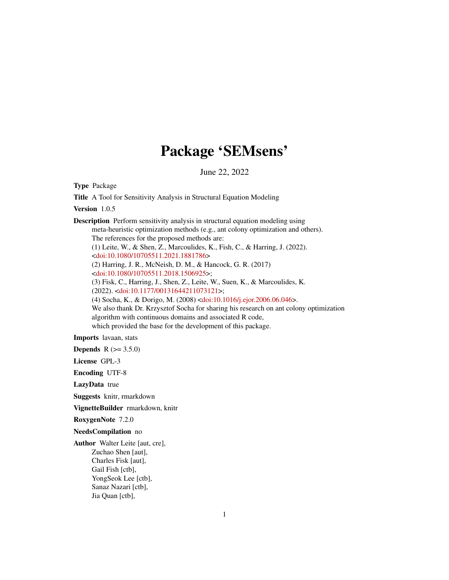# Package 'SEMsens'

June 22, 2022

Type Package

Title A Tool for Sensitivity Analysis in Structural Equation Modeling

Version 1.0.5

Description Perform sensitivity analysis in structural equation modeling using meta-heuristic optimization methods (e.g., ant colony optimization and others). The references for the proposed methods are: (1) Leite, W., & Shen, Z., Marcoulides, K., Fish, C., & Harring, J. (2022). [<doi:10.1080/10705511.2021.1881786>](https://doi.org/10.1080/10705511.2021.1881786) (2) Harring, J. R., McNeish, D. M., & Hancock, G. R. (2017) [<doi:10.1080/10705511.2018.1506925>](https://doi.org/10.1080/10705511.2018.1506925); (3) Fisk, C., Harring, J., Shen, Z., Leite, W., Suen, K., & Marcoulides, K. (2022). [<doi:10.1177/00131644211073121>](https://doi.org/10.1177/00131644211073121); (4) Socha, K., & Dorigo, M. (2008) [<doi:10.1016/j.ejor.2006.06.046>](https://doi.org/10.1016/j.ejor.2006.06.046). We also thank Dr. Krzysztof Socha for sharing his research on ant colony optimization algorithm with continuous domains and associated R code, which provided the base for the development of this package.

Imports lavaan, stats

**Depends**  $R (= 3.5.0)$ 

License GPL-3

Encoding UTF-8

LazyData true

Suggests knitr, rmarkdown

VignetteBuilder rmarkdown, knitr

RoxygenNote 7.2.0

NeedsCompilation no

Author Walter Leite [aut, cre], Zuchao Shen [aut], Charles Fisk [aut], Gail Fish [ctb], YongSeok Lee [ctb], Sanaz Nazari [ctb], Jia Quan [ctb],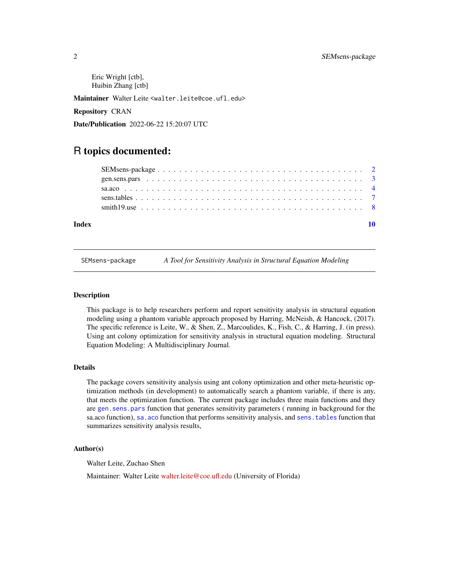<span id="page-1-0"></span>Eric Wright [ctb], Huibin Zhang [ctb]

Maintainer Walter Leite <walter.leite@coe.ufl.edu>

Repository CRAN

Date/Publication 2022-06-22 15:20:07 UTC

# R topics documented:

| Index |  |
|-------|--|

SEMsens-package *A Tool for Sensitivity Analysis in Structural Equation Modeling*

#### Description

This package is to help researchers perform and report sensitivity analysis in structural equation modeling using a phantom variable approach proposed by Harring, McNeish, & Hancock, (2017). The specific reference is Leite, W., & Shen, Z., Marcoulides, K., Fish, C., & Harring, J. (in press). Using ant colony optimization for sensitivity analysis in structural equation modeling. Structural Equation Modeling: A Multidisciplinary Journal.

#### Details

The package covers sensitivity analysis using ant colony optimization and other meta-heuristic optimization methods (in development) to automatically search a phantom variable, if there is any, that meets the optimization function. The current package includes three main functions and they are [gen.sens.pars](#page-2-1) function that generates sensitivity parameters ( running in background for the sa.aco function), [sa.aco](#page-3-1) function that performs sensitivity analysis, and [sens.tables](#page-6-1) function that summarizes sensitivity analysis results,

#### Author(s)

Walter Leite, Zuchao Shen

Maintainer: Walter Leite [walter.leite@coe.ufl.edu](mailto:walter.leite@coe.ufl.edu) (University of Florida)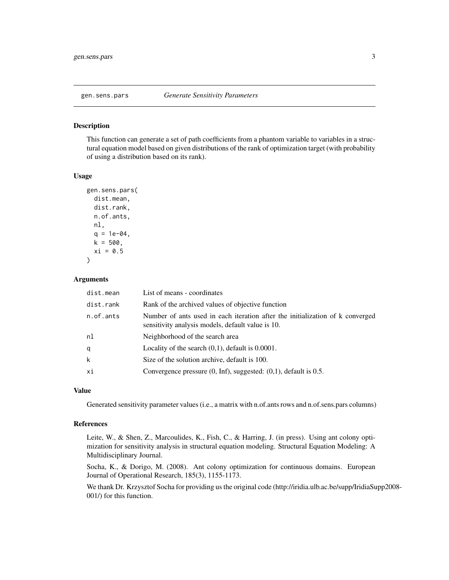<span id="page-2-1"></span><span id="page-2-0"></span>

#### Description

This function can generate a set of path coefficients from a phantom variable to variables in a structural equation model based on given distributions of the rank of optimization target (with probability of using a distribution based on its rank).

#### Usage

```
gen.sens.pars(
  dist.mean,
  dist.rank,
  n.of.ants,
 nl,
  q = 1e-04,
 k = 500,
  xi = 0.5)
```
#### Arguments

| dist.mean | List of means - coordinates                                                                                                        |
|-----------|------------------------------------------------------------------------------------------------------------------------------------|
| dist.rank | Rank of the archived values of objective function                                                                                  |
| n.of.ants | Number of ants used in each iteration after the initialization of k converged<br>sensitivity analysis models, default value is 10. |
| nl        | Neighborhood of the search area                                                                                                    |
| q         | Locality of the search $(0,1)$ , default is 0.0001.                                                                                |
| k         | Size of the solution archive, default is 100.                                                                                      |
| хi        | Convergence pressure $(0, \text{Inf})$ , suggested: $(0, 1)$ , default is 0.5.                                                     |

#### Value

Generated sensitivity parameter values (i.e., a matrix with n.of.ants rows and n.of.sens.pars columns)

#### References

Leite, W., & Shen, Z., Marcoulides, K., Fish, C., & Harring, J. (in press). Using ant colony optimization for sensitivity analysis in structural equation modeling. Structural Equation Modeling: A Multidisciplinary Journal.

Socha, K., & Dorigo, M. (2008). Ant colony optimization for continuous domains. European Journal of Operational Research, 185(3), 1155-1173.

We thank Dr. Krzysztof Socha for providing us the original code (http://iridia.ulb.ac.be/supp/IridiaSupp2008- 001/) for this function.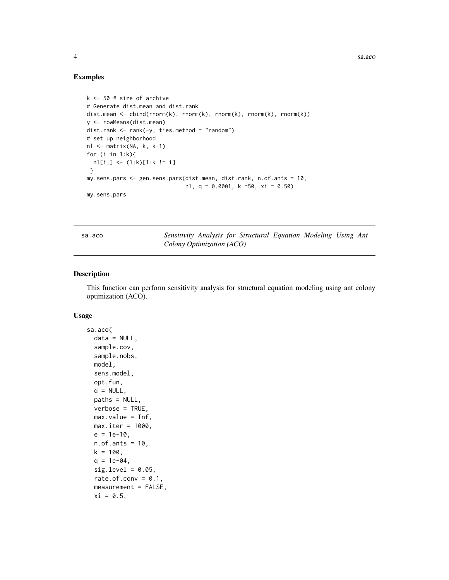4 sa.aco sa any sample of the same state of the same state of the same state of the same state of the same state of the same state of the same state of the same state of the same state of the same state of the same state o

#### Examples

```
k <- 50 # size of archive
# Generate dist.mean and dist.rank
dist.mean <- cbind(rnorm(k), rnorm(k), rnorm(k), rnorm(k), rnorm(k))
y <- rowMeans(dist.mean)
dist.rank <- rank(-y, ties.method = "random")
# set up neighborhood
nl <- matrix(NA, k, k-1)
for (i in 1:k){
 nl[i,] <- (1:k)[1:k != i]
 }
my.sens.pars <- gen.sens.pars(dist.mean, dist.rank, n.of.ants = 10,
                              nl, q = 0.0001, k =50, xi = 0.50)
my.sens.pars
```
<span id="page-3-1"></span>sa.aco *Sensitivity Analysis for Structural Equation Modeling Using Ant Colony Optimization (ACO)*

#### Description

This function can perform sensitivity analysis for structural equation modeling using ant colony optimization (ACO).

#### Usage

```
sa.aco(
  data = NULL,sample.cov,
  sample.nobs,
 model,
  sens.model,
  opt.fun,
 d = NULL,paths = NULL,
 verbose = TRUE,
 max.value = Inf,max.iter = 1000,e = 1e-10,
 n.of.ants = 10,
 k = 100.
 q = 1e-04,
  sig. level = 0.05,
  rate.of.conv = 0.1,
 measurement = FALSE,
 xi = 0.5,
```
<span id="page-3-0"></span>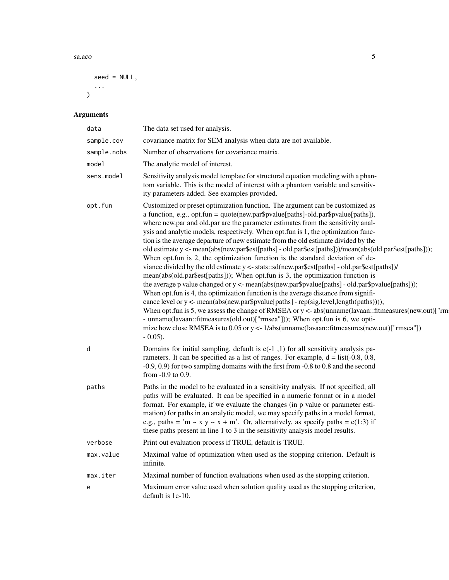$s$ a.aco  $5$ 

```
seed = NULL,
...
)
```
## Arguments

| data        | The data set used for analysis.                                                                                                                                                                                                                                                                                                                                                                                                                                                                                                                                                                                                                                                                                                                                                                                                                                                                                                                                                                                                                                                                                                                                                                                                                                                                                                                                                                                  |
|-------------|------------------------------------------------------------------------------------------------------------------------------------------------------------------------------------------------------------------------------------------------------------------------------------------------------------------------------------------------------------------------------------------------------------------------------------------------------------------------------------------------------------------------------------------------------------------------------------------------------------------------------------------------------------------------------------------------------------------------------------------------------------------------------------------------------------------------------------------------------------------------------------------------------------------------------------------------------------------------------------------------------------------------------------------------------------------------------------------------------------------------------------------------------------------------------------------------------------------------------------------------------------------------------------------------------------------------------------------------------------------------------------------------------------------|
| sample.cov  | covariance matrix for SEM analysis when data are not available.                                                                                                                                                                                                                                                                                                                                                                                                                                                                                                                                                                                                                                                                                                                                                                                                                                                                                                                                                                                                                                                                                                                                                                                                                                                                                                                                                  |
| sample.nobs | Number of observations for covariance matrix.                                                                                                                                                                                                                                                                                                                                                                                                                                                                                                                                                                                                                                                                                                                                                                                                                                                                                                                                                                                                                                                                                                                                                                                                                                                                                                                                                                    |
| model       | The analytic model of interest.                                                                                                                                                                                                                                                                                                                                                                                                                                                                                                                                                                                                                                                                                                                                                                                                                                                                                                                                                                                                                                                                                                                                                                                                                                                                                                                                                                                  |
| sens.model  | Sensitivity analysis model template for structural equation modeling with a phan-<br>tom variable. This is the model of interest with a phantom variable and sensitiv-<br>ity parameters added. See examples provided.                                                                                                                                                                                                                                                                                                                                                                                                                                                                                                                                                                                                                                                                                                                                                                                                                                                                                                                                                                                                                                                                                                                                                                                           |
| opt.fun     | Customized or preset optimization function. The argument can be customized as<br>a function, e.g., opt.fun = quote(new.par\$pvalue[paths]-old.par\$pvalue[paths]),<br>where new.par and old.par are the parameter estimates from the sensitivity anal-<br>ysis and analytic models, respectively. When opt.fun is 1, the optimization func-<br>tion is the average departure of new estimate from the old estimate divided by the<br>old estimate y <- mean(abs(new.par\$est[paths] - old.par\$est[paths]))/mean(abs(old.par\$est[paths]));<br>When opt.fun is 2, the optimization function is the standard deviation of de-<br>viance divided by the old estimate y <- stats::sd(new.par\$est[paths] - old.par\$est[paths])/<br>mean(abs(old.par\$est[paths])); When opt.fun is 3, the optimization function is<br>the average p value changed or y <- mean(abs(new.par\$pvalue[paths] - old.par\$pvalue[paths]));<br>When opt. fun is 4, the optimization function is the average distance from signifi-<br>cance level or y <- mean(abs(new.par\$pvalue[paths] - rep(sig.level,length(paths))));<br>When opt.fun is 5, we assess the change of RMSEA or $y < -$ abs(unname(lavaan::fitmeasures(new.out)["rm<br>- unname(lavaan::fitmeasures(old.out)["rmsea"])); When opt.fun is 6, we opti-<br>mize how close RMSEA is to 0.05 or $y \lt-1$ /abs(unname(lavaan::fitmeasures(new.out)["rmsea"])<br>$-0.05$ ). |
| d           | Domains for initial sampling, default is $c(-1, 1)$ for all sensitivity analysis pa-<br>rameters. It can be specified as a list of ranges. For example, $d =$ list(-0.8, 0.8,<br>$-0.9, 0.9$ for two sampling domains with the first from $-0.8$ to 0.8 and the second<br>from -0.9 to 0.9.                                                                                                                                                                                                                                                                                                                                                                                                                                                                                                                                                                                                                                                                                                                                                                                                                                                                                                                                                                                                                                                                                                                      |
| paths       | Paths in the model to be evaluated in a sensitivity analysis. If not specified, all<br>paths will be evaluated. It can be specified in a numeric format or in a model<br>format. For example, if we evaluate the changes (in p value or parameter esti-<br>mation) for paths in an analytic model, we may specify paths in a model format,<br>e.g., paths = 'm ~ x y ~ x + m'. Or, alternatively, as specify paths = $c(1:3)$ if<br>these paths present in line 1 to 3 in the sensitivity analysis model results.                                                                                                                                                                                                                                                                                                                                                                                                                                                                                                                                                                                                                                                                                                                                                                                                                                                                                                |
| verbose     | Print out evaluation process if TRUE, default is TRUE.                                                                                                                                                                                                                                                                                                                                                                                                                                                                                                                                                                                                                                                                                                                                                                                                                                                                                                                                                                                                                                                                                                                                                                                                                                                                                                                                                           |
| max.value   | Maximal value of optimization when used as the stopping criterion. Default is<br>infinite.                                                                                                                                                                                                                                                                                                                                                                                                                                                                                                                                                                                                                                                                                                                                                                                                                                                                                                                                                                                                                                                                                                                                                                                                                                                                                                                       |
| max.iter    | Maximal number of function evaluations when used as the stopping criterion.                                                                                                                                                                                                                                                                                                                                                                                                                                                                                                                                                                                                                                                                                                                                                                                                                                                                                                                                                                                                                                                                                                                                                                                                                                                                                                                                      |
| e           | Maximum error value used when solution quality used as the stopping criterion,<br>default is 1e-10.                                                                                                                                                                                                                                                                                                                                                                                                                                                                                                                                                                                                                                                                                                                                                                                                                                                                                                                                                                                                                                                                                                                                                                                                                                                                                                              |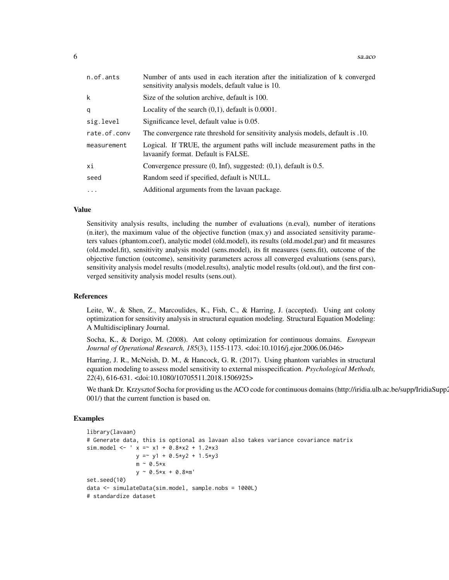| n.of.ants    | Number of ants used in each iteration after the initialization of k converged<br>sensitivity analysis models, default value is 10. |
|--------------|------------------------------------------------------------------------------------------------------------------------------------|
| k            | Size of the solution archive, default is 100.                                                                                      |
| q            | Locality of the search $(0,1)$ , default is 0.0001.                                                                                |
| sig.level    | Significance level, default value is 0.05.                                                                                         |
| rate.of.conv | The convergence rate threshold for sensitivity analysis models, default is .10.                                                    |
| measurement  | Logical. If TRUE, the argument paths will include measurement paths in the<br>lavaanify format. Default is FALSE.                  |
| xi           | Convergence pressure $(0, \text{Inf})$ , suggested: $(0,1)$ , default is 0.5.                                                      |
| seed         | Random seed if specified, default is NULL.                                                                                         |
| $\cdot$      | Additional arguments from the lavaan package.                                                                                      |

#### Value

Sensitivity analysis results, including the number of evaluations (n.eval), number of iterations (n.iter), the maximum value of the objective function (max.y) and associated sensitivity parameters values (phantom.coef), analytic model (old.model), its results (old.model.par) and fit measures (old.model.fit), sensitivity analysis model (sens.model), its fit measures (sens.fit), outcome of the objective function (outcome), sensitivity parameters across all converged evaluations (sens.pars), sensitivity analysis model results (model.results), analytic model results (old.out), and the first converged sensitivity analysis model results (sens.out).

#### References

Leite, W., & Shen, Z., Marcoulides, K., Fish, C., & Harring, J. (accepted). Using ant colony optimization for sensitivity analysis in structural equation modeling. Structural Equation Modeling: A Multidisciplinary Journal.

Socha, K., & Dorigo, M. (2008). Ant colony optimization for continuous domains. *European Journal of Operational Research, 185*(3), 1155-1173. <doi:10.1016/j.ejor.2006.06.046>

Harring, J. R., McNeish, D. M., & Hancock, G. R. (2017). Using phantom variables in structural equation modeling to assess model sensitivity to external misspecification. *Psychological Methods, 22*(4), 616-631. <doi:10.1080/10705511.2018.1506925>

We thank Dr. Krzysztof Socha for providing us the ACO code for continuous domains (http://iridia.ulb.ac.be/supp/IridiaSupp2 001/) that the current function is based on.

#### Examples

```
library(lavaan)
# Generate data, this is optional as lavaan also takes variance covariance matrix
sim.model <- ' x = x1 + 0.8*x2 + 1.2*x3y = y1 + 0.5*y2 + 1.5*y3m \sim 0.5*xy \sim 0.5*x + 0.8*m'set.seed(10)
data <- simulateData(sim.model, sample.nobs = 1000L)
# standardize dataset
```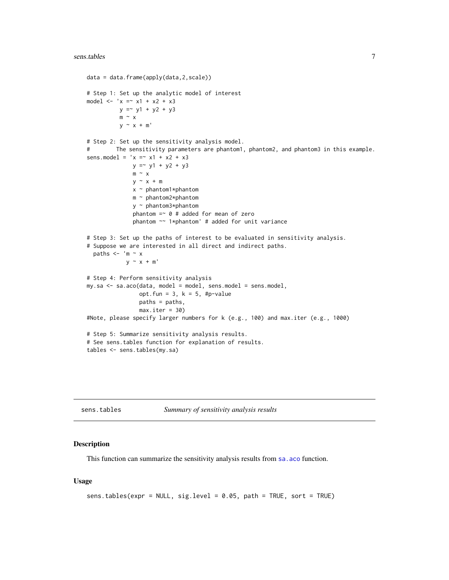#### <span id="page-6-0"></span> $s$ ens.tables  $\frac{7}{3}$

```
data = data.frame(apply(data,2,scale))
# Step 1: Set up the analytic model of interest
model <- 'x = x1 + x2 + x3y = y1 + y2 + y3m \sim xy \sim x + m'# Step 2: Set up the sensitivity analysis model.
# The sensitivity parameters are phantom1, phantom2, and phantom3 in this example.
sens.model = 'x = x1 + x2 + x3y = y1 + y2 + y3m \sim xy \sim x + mx ~ phantom1*phantom
              m ~ phantom2*phantom
              y ~ phantom3*phantom
              phantom = \circ # added for mean of zero
              phantom ~~ 1*phantom' # added for unit variance
# Step 3: Set up the paths of interest to be evaluated in sensitivity analysis.
# Suppose we are interested in all direct and indirect paths.
  paths <- 'm \sim x
            y \sim x + m'# Step 4: Perform sensitivity analysis
my.sa <- sa.aco(data, model = model, sens.model = sens.model,
                opt.fun = 3, k = 5, #p-value
                paths = paths,
                max.iter = 30#Note, please specify larger numbers for k (e.g., 100) and max.iter (e.g., 1000)
# Step 5: Summarize sensitivity analysis results.
# See sens.tables function for explanation of results.
tables <- sens.tables(my.sa)
```
<span id="page-6-1"></span>sens.tables *Summary of sensitivity analysis results*

#### **Description**

This function can summarize the sensitivity analysis results from sa. aco function.

#### Usage

```
sens.tables(expr = NULL, sig.level = 0.05, path = TRUE, sort = TRUE)
```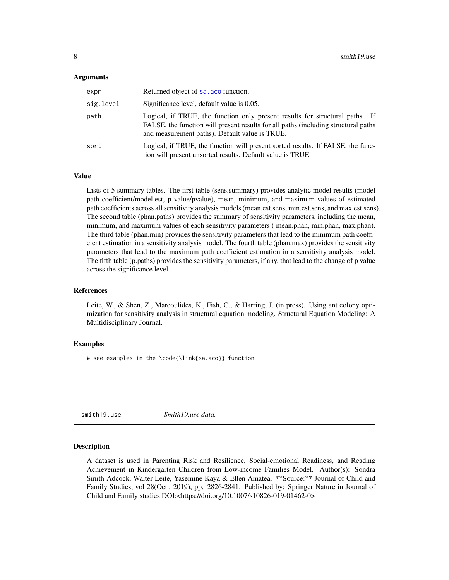#### <span id="page-7-0"></span>Arguments

| expr      | Returned object of sa. aco function.                                                                                                                                                                                  |
|-----------|-----------------------------------------------------------------------------------------------------------------------------------------------------------------------------------------------------------------------|
| sig.level | Significance level, default value is 0.05.                                                                                                                                                                            |
| path      | Logical, if TRUE, the function only present results for structural paths. If<br>FALSE, the function will present results for all paths (including structural paths)<br>and measurement paths). Default value is TRUE. |
| sort      | Logical, if TRUE, the function will present sorted results. If FALSE, the func-<br>tion will present unsorted results. Default value is TRUE.                                                                         |

#### Value

Lists of 5 summary tables. The first table (sens.summary) provides analytic model results (model path coefficient/model.est, p value/pvalue), mean, minimum, and maximum values of estimated path coefficients across all sensitivity analysis models (mean.est.sens, min.est.sens, and max.est.sens). The second table (phan.paths) provides the summary of sensitivity parameters, including the mean, minimum, and maximum values of each sensitivity parameters ( mean.phan, min.phan, max.phan). The third table (phan.min) provides the sensitivity parameters that lead to the minimum path coefficient estimation in a sensitivity analysis model. The fourth table (phan.max) provides the sensitivity parameters that lead to the maximum path coefficient estimation in a sensitivity analysis model. The fifth table (p.paths) provides the sensitivity parameters, if any, that lead to the change of p value across the significance level.

#### References

Leite, W., & Shen, Z., Marcoulides, K., Fish, C., & Harring, J. (in press). Using ant colony optimization for sensitivity analysis in structural equation modeling. Structural Equation Modeling: A Multidisciplinary Journal.

#### Examples

# see examples in the \code{\link{sa.aco}} function

smith19.use *Smith19.use data.*

#### Description

A dataset is used in Parenting Risk and Resilience, Social-emotional Readiness, and Reading Achievement in Kindergarten Children from Low-income Families Model. Author(s): Sondra Smith-Adcock, Walter Leite, Yasemine Kaya & Ellen Amatea. \*\*Source:\*\* Journal of Child and Family Studies, vol 28(Oct., 2019), pp. 2826-2841. Published by: Springer Nature in Journal of Child and Family studies DOI:<https://doi.org/10.1007/s10826-019-01462-0>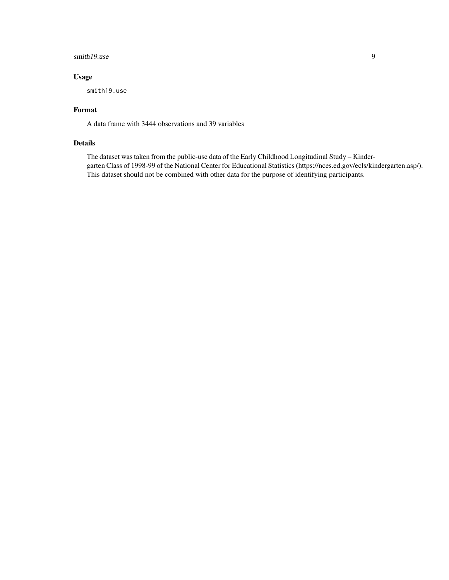#### smith19.use 9

### Usage

smith19.use

#### Format

A data frame with 3444 observations and 39 variables

#### Details

The dataset was taken from the public-use data of the Early Childhood Longitudinal Study – Kindergarten Class of 1998-99 of the National Center for Educational Statistics (https://nces.ed.gov/ecls/kindergarten.asp/). This dataset should not be combined with other data for the purpose of identifying participants.